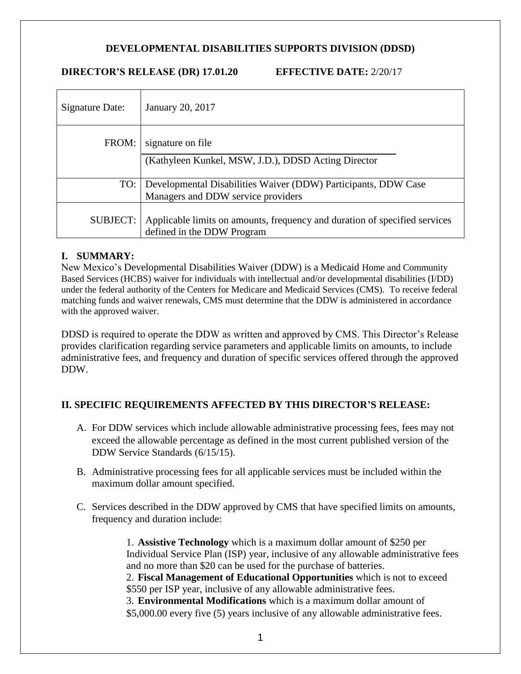## **DEVELOPMENTAL DISABILITIES SUPPORTS DIVISION (DDSD)**

#### **DIRECTOR'S RELEASE (DR) 17.01.20 EFFECTIVE DATE:** 2/20/17

| Signature Date: | January 20, 2017                                                                                         |
|-----------------|----------------------------------------------------------------------------------------------------------|
| FROM:           | signature on file<br>(Kathyleen Kunkel, MSW, J.D.), DDSD Acting Director                                 |
| TO:             | Developmental Disabilities Waiver (DDW) Participants, DDW Case<br>Managers and DDW service providers     |
| <b>SUBJECT:</b> | Applicable limits on amounts, frequency and duration of specified services<br>defined in the DDW Program |

### **I. SUMMARY:**

New Mexico's Developmental Disabilities Waiver (DDW) is a Medicaid Home and Community Based Services (HCBS) waiver for individuals with intellectual and/or developmental disabilities (I/DD) under the federal authority of the Centers for Medicare and Medicaid Services (CMS). To receive federal matching funds and waiver renewals, CMS must determine that the DDW is administered in accordance with the approved waiver.

DDSD is required to operate the DDW as written and approved by CMS. This Director's Release provides clarification regarding service parameters and applicable limits on amounts, to include administrative fees, and frequency and duration of specific services offered through the approved DDW.

# **II. SPECIFIC REQUIREMENTS AFFECTED BY THIS DIRECTOR'S RELEASE:**

- A. For DDW services which include allowable administrative processing fees, fees may not exceed the allowable percentage as defined in the most current published version of the DDW Service Standards (6/15/15).
- B. Administrative processing fees for all applicable services must be included within the maximum dollar amount specified.
- C. Services described in the DDW approved by CMS that have specified limits on amounts, frequency and duration include:

1. **Assistive Technology** which is a maximum dollar amount of \$250 per Individual Service Plan (ISP) year, inclusive of any allowable administrative fees and no more than \$20 can be used for the purchase of batteries. 2. **Fiscal Management of Educational Opportunities** which is not to exceed \$550 per ISP year, inclusive of any allowable administrative fees. 3. **Environmental Modifications** which is a maximum dollar amount of \$5,000.00 every five (5) years inclusive of any allowable administrative fees.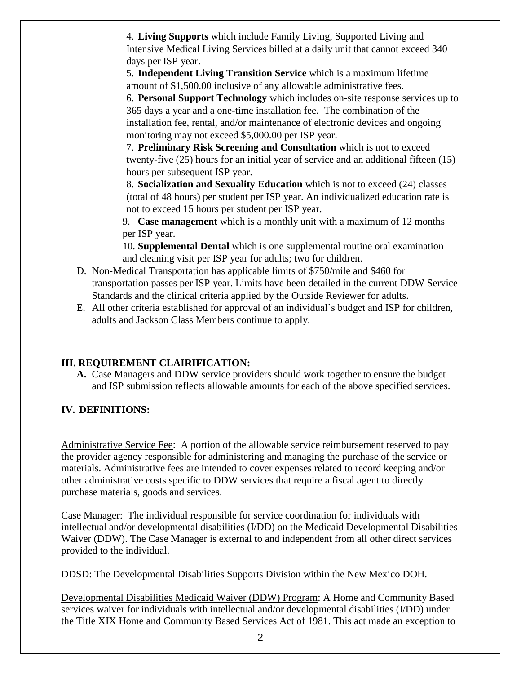4. **Living Supports** which include Family Living, Supported Living and Intensive Medical Living Services billed at a daily unit that cannot exceed 340 days per ISP year.

5. **Independent Living Transition Service** which is a maximum lifetime amount of \$1,500.00 inclusive of any allowable administrative fees.

6. **Personal Support Technology** which includes on-site response services up to 365 days a year and a one-time installation fee. The combination of the installation fee, rental, and/or maintenance of electronic devices and ongoing monitoring may not exceed \$5,000.00 per ISP year.

7. **Preliminary Risk Screening and Consultation** which is not to exceed twenty-five (25) hours for an initial year of service and an additional fifteen (15) hours per subsequent ISP year.

8. **Socialization and Sexuality Education** which is not to exceed (24) classes (total of 48 hours) per student per ISP year. An individualized education rate is not to exceed 15 hours per student per ISP year.

9. **Case management** which is a monthly unit with a maximum of 12 months per ISP year.

10. **Supplemental Dental** which is one supplemental routine oral examination and cleaning visit per ISP year for adults; two for children.

- D. Non-Medical Transportation has applicable limits of \$750/mile and \$460 for transportation passes per ISP year. Limits have been detailed in the current DDW Service Standards and the clinical criteria applied by the Outside Reviewer for adults.
- E. All other criteria established for approval of an individual's budget and ISP for children, adults and Jackson Class Members continue to apply.

# **III. REQUIREMENT CLAIRIFICATION:**

**A.** Case Managers and DDW service providers should work together to ensure the budget and ISP submission reflects allowable amounts for each of the above specified services.

# **IV. DEFINITIONS:**

Administrative Service Fee: A portion of the allowable service reimbursement reserved to pay the provider agency responsible for administering and managing the purchase of the service or materials. Administrative fees are intended to cover expenses related to record keeping and/or other administrative costs specific to DDW services that require a fiscal agent to directly purchase materials, goods and services.

Case Manager: The individual responsible for service coordination for individuals with intellectual and/or developmental disabilities (I/DD) on the Medicaid Developmental Disabilities Waiver (DDW). The Case Manager is external to and independent from all other direct services provided to the individual.

DDSD: The Developmental Disabilities Supports Division within the New Mexico DOH.

Developmental Disabilities Medicaid Waiver (DDW) Program: A Home and Community Based services waiver for individuals with intellectual and/or developmental disabilities (I/DD) under the Title XIX Home and Community Based Services Act of 1981. This act made an exception to